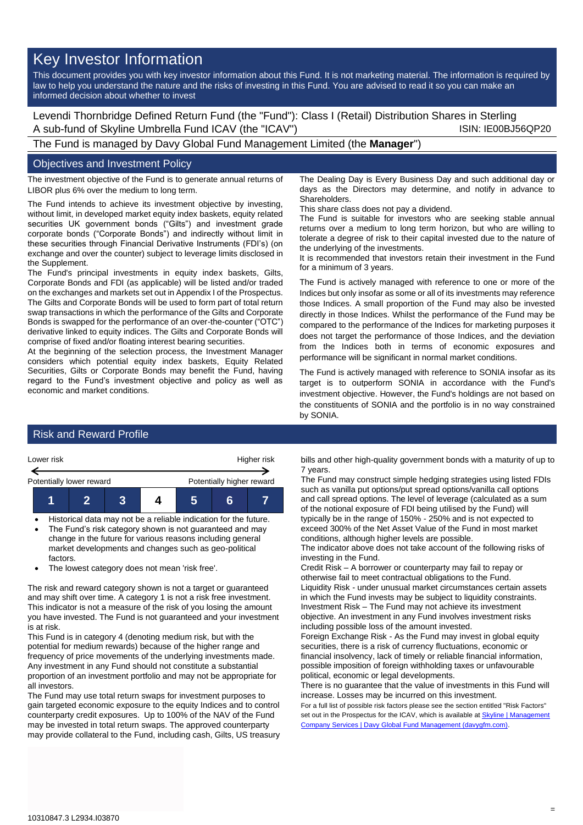# Key Investor Information

This document provides you with key investor information about this Fund. It is not marketing material. The information is required by law to help you understand the nature and the risks of investing in this Fund. You are advised to read it so you can make an informed decision about whether to invest

Levendi Thornbridge Defined Return Fund (the "Fund"): Class I (Retail) Distribution Shares in Sterling A sub-fund of Skyline Umbrella Fund ICAV (the "ICAV") SUN: IE00BJ56QP20

The Fund is managed by Davy Global Fund Management Limited (the **Manager**")

#### Objectives and Investment Policy

The investment objective of the Fund is to generate annual returns of LIBOR plus 6% over the medium to long term.

The Fund intends to achieve its investment objective by investing, without limit, in developed market equity index baskets, equity related securities UK government bonds ("Gilts") and investment grade corporate bonds ("Corporate Bonds") and indirectly without limit in these securities through Financial Derivative Instruments (FDI's) (on exchange and over the counter) subject to leverage limits disclosed in the Supplement.

The Fund's principal investments in equity index baskets, Gilts, Corporate Bonds and FDI (as applicable) will be listed and/or traded on the exchanges and markets set out in Appendix I of the Prospectus. The Gilts and Corporate Bonds will be used to form part of total return swap transactions in which the performance of the Gilts and Corporate Bonds is swapped for the performance of an over-the-counter ("OTC") derivative linked to equity indices. The Gilts and Corporate Bonds will comprise of fixed and/or floating interest bearing securities.

At the beginning of the selection process, the Investment Manager considers which potential equity index baskets, Equity Related Securities, Gilts or Corporate Bonds may benefit the Fund, having regard to the Fund's investment objective and policy as well as economic and market conditions.

The Dealing Day is Every Business Day and such additional day or days as the Directors may determine, and notify in advance to **Shareholders** 

This share class does not pay a dividend.

The Fund is suitable for investors who are seeking stable annual returns over a medium to long term horizon, but who are willing to tolerate a degree of risk to their capital invested due to the nature of the underlying of the investments.

It is recommended that investors retain their investment in the Fund for a minimum of 3 years.

The Fund is actively managed with reference to one or more of the Indices but only insofar as some or all of its investments may reference those Indices. A small proportion of the Fund may also be invested directly in those Indices. Whilst the performance of the Fund may be compared to the performance of the Indices for marketing purposes it does not target the performance of those Indices, and the deviation from the Indices both in terms of economic exposures and performance will be significant in normal market conditions.

The Fund is actively managed with reference to SONIA insofar as its target is to outperform SONIA in accordance with the Fund's investment objective. However, the Fund's holdings are not based on the constituents of SONIA and the portfolio is in no way constrained by SONIA.

#### Risk and Reward Profile



• Historical data may not be a reliable indication for the future. The Fund's risk category shown is not guaranteed and may change in the future for various reasons including general

market developments and changes such as geo-political factors.

• The lowest category does not mean 'risk free'.

The risk and reward category shown is not a target or guaranteed and may shift over time. A category 1 is not a risk free investment. This indicator is not a measure of the risk of you losing the amount you have invested. The Fund is not guaranteed and your investment is at risk.

This Fund is in category 4 (denoting medium risk, but with the potential for medium rewards) because of the higher range and frequency of price movements of the underlying investments made. Any investment in any Fund should not constitute a substantial proportion of an investment portfolio and may not be appropriate for all investors.

The Fund may use total return swaps for investment purposes to gain targeted economic exposure to the equity Indices and to control counterparty credit exposures. Up to 100% of the NAV of the Fund may be invested in total return swaps. The approved counterparty may provide collateral to the Fund, including cash, Gilts, US treasury

bills and other high-quality government bonds with a maturity of up to 7 years.

The Fund may construct simple hedging strategies using listed FDIs such as vanilla put options/put spread options/vanilla call options and call spread options. The level of leverage (calculated as a sum of the notional exposure of FDI being utilised by the Fund) will typically be in the range of 150% - 250% and is not expected to exceed 300% of the Net Asset Value of the Fund in most market conditions, although higher levels are possible.

The indicator above does not take account of the following risks of investing in the Fund.

Credit Risk – A borrower or counterparty may fail to repay or otherwise fail to meet contractual obligations to the Fund. Liquidity Risk - under unusual market circumstances certain assets in which the Fund invests may be subject to liquidity constraints. Investment Risk – The Fund may not achieve its investment objective. An investment in any Fund involves investment risks including possible loss of the amount invested.

Foreign Exchange Risk - As the Fund may invest in global equity securities, there is a risk of currency fluctuations, economic or financial insolvency, lack of timely or reliable financial information, possible imposition of foreign withholding taxes or unfavourable political, economic or legal developments.

There is no guarantee that the value of investments in this Fund will increase. Losses may be incurred on this investment.

For a full list of possible risk factors please see the section entitled "Risk Factors" set out in the Prospectus for the ICAV, which is available at Skyline | Management [Company Services | Davy Global Fund Management \(davygfm.com\).](https://www.davygfm.com/funds-factsheets/management-company-services/ireland/skyline.html)